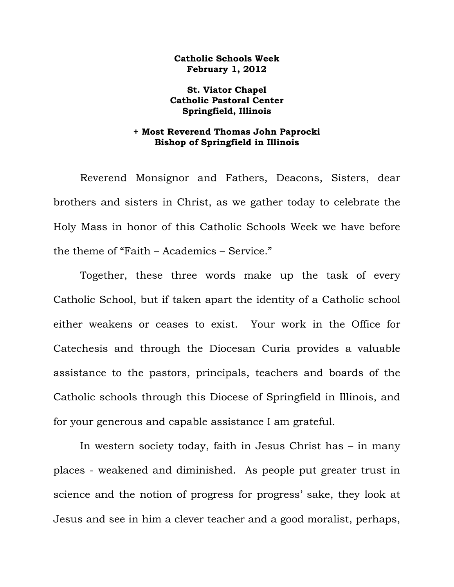## **Catholic Schools Week February 1, 2012**

## **St. Viator Chapel Catholic Pastoral Center Springfield, Illinois**

## **+ Most Reverend Thomas John Paprocki Bishop of Springfield in Illinois**

Reverend Monsignor and Fathers, Deacons, Sisters, dear brothers and sisters in Christ, as we gather today to celebrate the Holy Mass in honor of this Catholic Schools Week we have before the theme of "Faith – Academics – Service."

Together, these three words make up the task of every Catholic School, but if taken apart the identity of a Catholic school either weakens or ceases to exist. Your work in the Office for Catechesis and through the Diocesan Curia provides a valuable assistance to the pastors, principals, teachers and boards of the Catholic schools through this Diocese of Springfield in Illinois, and for your generous and capable assistance I am grateful.

In western society today, faith in Jesus Christ has – in many places - weakened and diminished. As people put greater trust in science and the notion of progress for progress' sake, they look at Jesus and see in him a clever teacher and a good moralist, perhaps,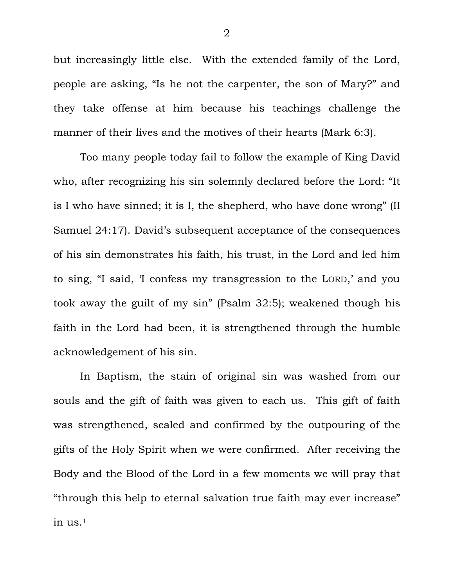but increasingly little else. With the extended family of the Lord, people are asking, "Is he not the carpenter, the son of Mary?" and they take offense at him because his teachings challenge the manner of their lives and the motives of their hearts (Mark 6:3).

Too many people today fail to follow the example of King David who, after recognizing his sin solemnly declared before the Lord: "It is I who have sinned; it is I, the shepherd, who have done wrong" (II Samuel 24:17). David's subsequent acceptance of the consequences of his sin demonstrates his faith, his trust, in the Lord and led him to sing, "I said, 'I confess my transgression to the LORD,' and you took away the guilt of my sin" (Psalm 32:5); weakened though his faith in the Lord had been, it is strengthened through the humble acknowledgement of his sin.

In Baptism, the stain of original sin was washed from our souls and the gift of faith was given to each us. This gift of faith was strengthened, sealed and confirmed by the outpouring of the gifts of the Holy Spirit when we were confirmed. After receiving the Body and the Blood of the Lord in a few moments we will pray that "through this help to eternal salvation true faith may ever increase" in us.1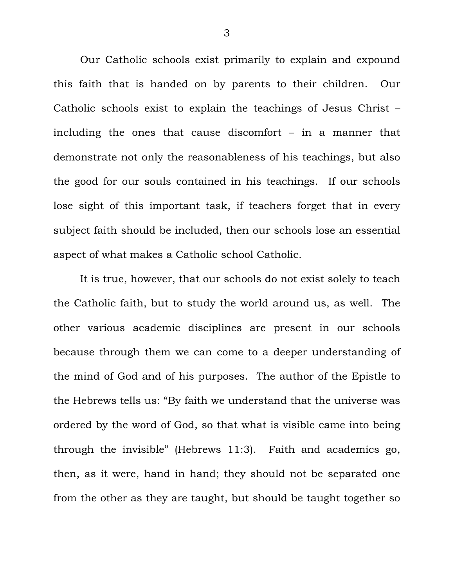Our Catholic schools exist primarily to explain and expound this faith that is handed on by parents to their children. Our Catholic schools exist to explain the teachings of Jesus Christ – including the ones that cause discomfort – in a manner that demonstrate not only the reasonableness of his teachings, but also the good for our souls contained in his teachings. If our schools lose sight of this important task, if teachers forget that in every subject faith should be included, then our schools lose an essential aspect of what makes a Catholic school Catholic.

It is true, however, that our schools do not exist solely to teach the Catholic faith, but to study the world around us, as well. The other various academic disciplines are present in our schools because through them we can come to a deeper understanding of the mind of God and of his purposes. The author of the Epistle to the Hebrews tells us: "By faith we understand that the universe was ordered by the word of God, so that what is visible came into being through the invisible" (Hebrews 11:3). Faith and academics go, then, as it were, hand in hand; they should not be separated one from the other as they are taught, but should be taught together so

3